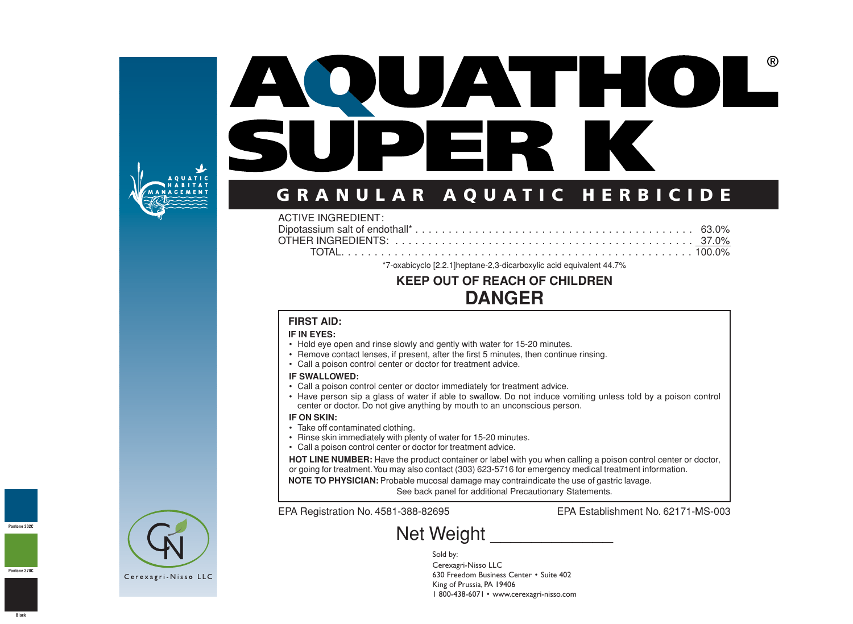

# AOUATHOL® SUPER K

# **GRANULAR AQUATIC HERBICIDE**

#### ACTIVE INGREDIENT:

\*7-oxabicyclo [2.2.1]heptane-2,3-dicarboxylic acid equivalent 44.7%

# **KEEP OUT OF REACH OF CHILDREN DANGER**

#### **FIRST AID:**

#### **IF IN EYES:**

- Hold eye open and rinse slowly and gently with water for 15-20 minutes.
- Remove contact lenses, if present, after the first 5 minutes, then continue rinsing.
- Call a poison control center or doctor for treatment advice.

#### **IF SWALLOWED:**

- Call a poison control center or doctor immediately for treatment advice.
- Have person sip a glass of water if able to swallow. Do not induce vomiting unless told by a poison control center or doctor. Do not give anything by mouth to an unconscious person.

#### **IF ON SKIN:**

- Take off contaminated clothing.
- Rinse skin immediately with plenty of water for 15-20 minutes.
- Call a poison control center or doctor for treatment advice.

**HOT LINE NUMBER:** Have the product container or label with you when calling a poison control center or doctor, or going for treatment.You may also contact (303) 623-5716 for emergency medical treatment information.

**NOTE TO PHYSICIAN:** Probable mucosal damage may contraindicate the use of gastric lavage.

See back panel for additional Precautionary Statements.

EPA Registration No. 4581-388-82695 EPA Establishment No. 62171-MS-003

# Net Weight \_\_\_\_\_\_\_\_\_\_\_\_

Sold by: Cerexagri-Nisso LLC 630 Freedom Business Center • Suite 402 King of Prussia, PA 19406 1 800-438-6071 • www.cerexa gri-nisso.com